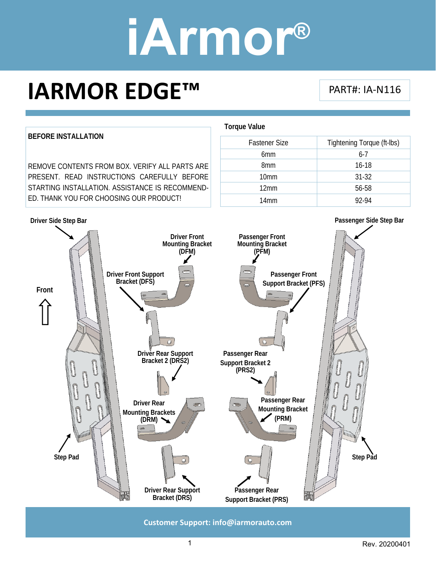### **IARMOR EDGE™**

#### PART#: IA‐N116



**Customer Support: info@iarmorauto.com** 

1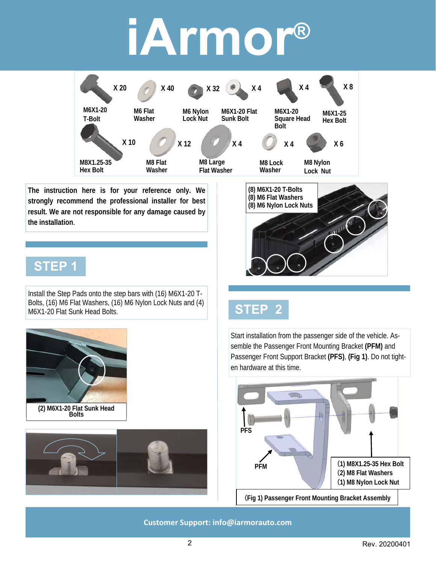

**The instruction here is for your reference only. We strongly recommend the professional installer for best result. We are not responsible for any damage caused by the installation**.

#### **STEP 1**

Install the Step Pads onto the step bars with (16) M6X1-20 T-Bolts, (16) M6 Flat Washers, (16) M6 Nylon Lock Nuts and (4) M6X1-20 Flat Sunk Head Bolts.





**(8) M6X1-20 T-Bolts (8) M6 Flat Washers (8) M6 Nylon Lock Nuts** 

### **STEP 2**

Start installation from the passenger side of the vehicle. Assemble the Passenger Front Mounting Bracket **(PFM)** and Passenger Front Support Bracket **(PFS)**, **(Fig 1)**. Do not tighten hardware at this time.



(**Fig 1) Passenger Front Mounting Bracket Assembly**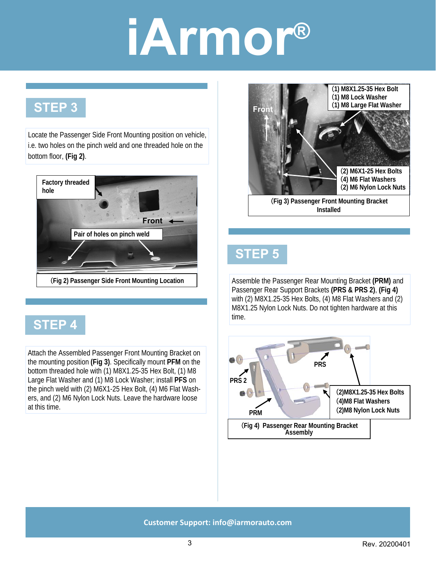### **STEP 3**

Locate the Passenger Side Front Mounting position on vehicle, i.e. two holes on the pinch weld and one threaded hole on the bottom floor, **(Fig 2)**.



#### **STEP 4**

Attach the Assembled Passenger Front Mounting Bracket on the mounting position **(Fig 3)**. Specifically mount **PFM** on the bottom threaded hole with (1) M8X1.25-35 Hex Bolt, (1) M8 Large Flat Washer and (1) M8 Lock Washer; install **PFS** on the pinch weld with (2) M6X1-25 Hex Bolt, (4) M6 Flat Washers, and (2) M6 Nylon Lock Nuts. Leave the hardware loose at this time.



### **STEP 5**

Assemble the Passenger Rear Mounting Bracket **(PRM)** and Passenger Rear Support Brackets **(PRS & PRS 2)**, **(Fig 4)**  with (2) M8X1.25-35 Hex Bolts, (4) M8 Flat Washers and (2) M8X1.25 Nylon Lock Nuts. Do not tighten hardware at this time.

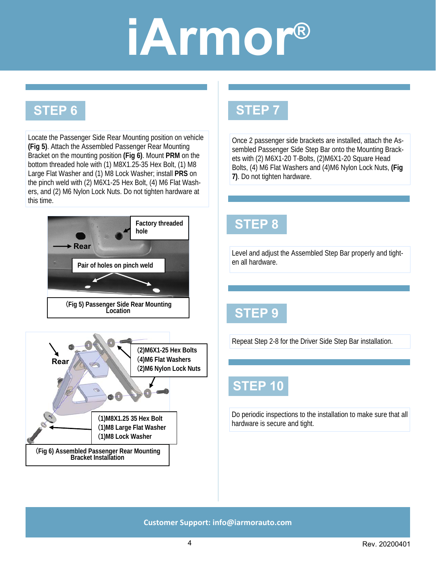#### **STEP 6**

Locate the Passenger Side Rear Mounting position on vehicle **(Fig 5)**. Attach the Assembled Passenger Rear Mounting Bracket on the mounting position **(Fig 6)**. Mount **PRM** on the bottom threaded hole with (1) M8X1.25-35 Hex Bolt, (1) M8 Large Flat Washer and (1) M8 Lock Washer; install **PRS** on the pinch weld with (2) M6X1-25 Hex Bolt, (4) M6 Flat Washers, and (2) M6 Nylon Lock Nuts. Do not tighten hardware at this time.



### **STEP 7**

Once 2 passenger side brackets are installed, attach the Assembled Passenger Side Step Bar onto the Mounting Brackets with (2) M6X1-20 T-Bolts, (2)M6X1-20 Square Head Bolts, (4) M6 Flat Washers and (4)M6 Nylon Lock Nuts, **(Fig 7)**. Do not tighten hardware.

### **STEP 8**

Level and adjust the Assembled Step Bar properly and tighten all hardware.

#### **STEP 9**

Repeat Step 2-8 for the Driver Side Step Bar installation.

#### **STEP 10**

Do periodic inspections to the installation to make sure that all hardware is secure and tight.